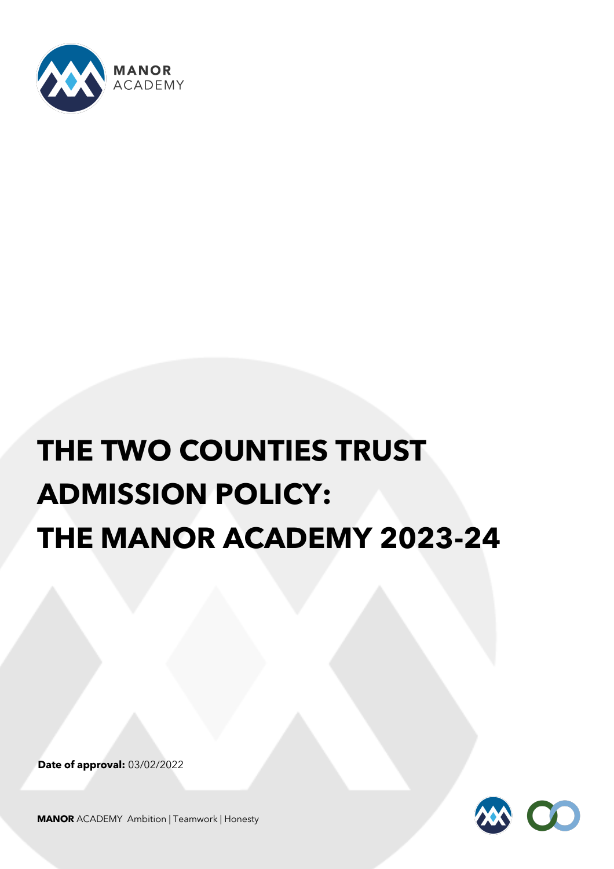

# **THE TWO COUNTIES TRUST ADMISSION POLICY: THE MANOR ACADEMY 2023-24**

**Date of approval:** 03/02/2022



**MANOR** ACADEMYAmbition | Teamwork | Honesty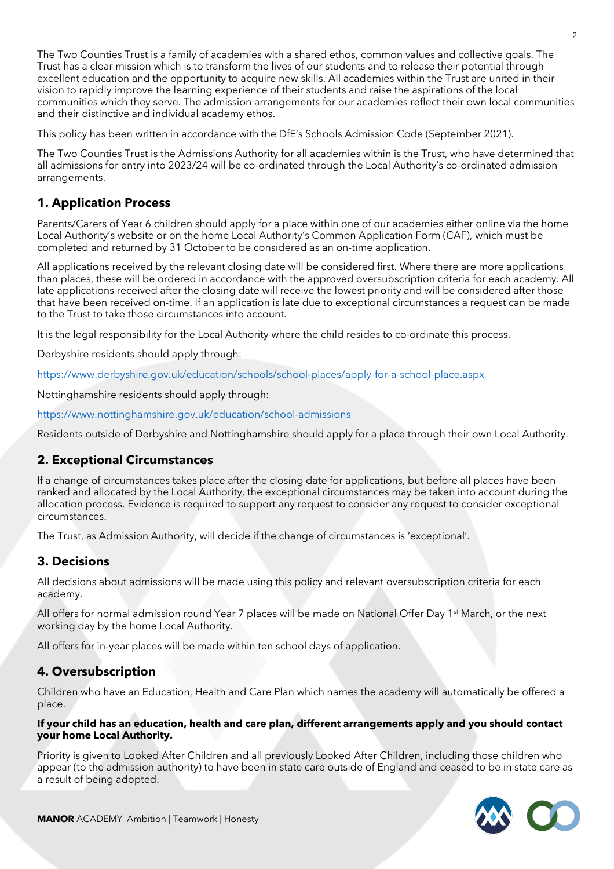The Two Counties Trust is a family of academies with a shared ethos, common values and collective goals. The Trust has a clear mission which is to transform the lives of our students and to release their potential through excellent education and the opportunity to acquire new skills. All academies within the Trust are united in their vision to rapidly improve the learning experience of their students and raise the aspirations of the local communities which they serve. The admission arrangements for our academies reflect their own local communities and their distinctive and individual academy ethos.

This policy has been written in accordance with the DfE's Schools Admission Code (September 2021).

The Two Counties Trust is the Admissions Authority for all academies within is the Trust, who have determined that all admissions for entry into 2023/24 will be co-ordinated through the Local Authority's co-ordinated admission arrangements.

# **1. Application Process**

Parents/Carers of Year 6 children should apply for a place within one of our academies either online via the home Local Authority's website or on the home Local Authority's Common Application Form (CAF), which must be completed and returned by 31 October to be considered as an on-time application.

All applications received by the relevant closing date will be considered first. Where there are more applications than places, these will be ordered in accordance with the approved oversubscription criteria for each academy. All late applications received after the closing date will receive the lowest priority and will be considered after those that have been received on-time. If an application is late due to exceptional circumstances a request can be made to the Trust to take those circumstances into account.

It is the legal responsibility for the Local Authority where the child resides to co-ordinate this process.

Derbyshire residents should apply through:

https://www.derbyshire.gov.uk/education/schools/school-places/apply-for-a-school-place.aspx

Nottinghamshire residents should apply through:

https://www.nottinghamshire.gov.uk/education/school-admissions

Residents outside of Derbyshire and Nottinghamshire should apply for a place through their own Local Authority.

### **2. Exceptional Circumstances**

If a change of circumstances takes place after the closing date for applications, but before all places have been ranked and allocated by the Local Authority, the exceptional circumstances may be taken into account during the allocation process. Evidence is required to support any request to consider any request to consider exceptional circumstances.

The Trust, as Admission Authority, will decide if the change of circumstances is 'exceptional'.

### **3. Decisions**

All decisions about admissions will be made using this policy and relevant oversubscription criteria for each academy.

All offers for normal admission round Year 7 places will be made on National Offer Day 1<sup>st</sup> March, or the next working day by the home Local Authority.

All offers for in-year places will be made within ten school days of application.

### **4. Oversubscription**

Children who have an Education, Health and Care Plan which names the academy will automatically be offered a place.

#### **If your child has an education, health and care plan, different arrangements apply and you should contact your home Local Authority.**

Priority is given to Looked After Children and all previously Looked After Children, including those children who appear (to the admission authority) to have been in state care outside of England and ceased to be in state care as a result of being adopted.

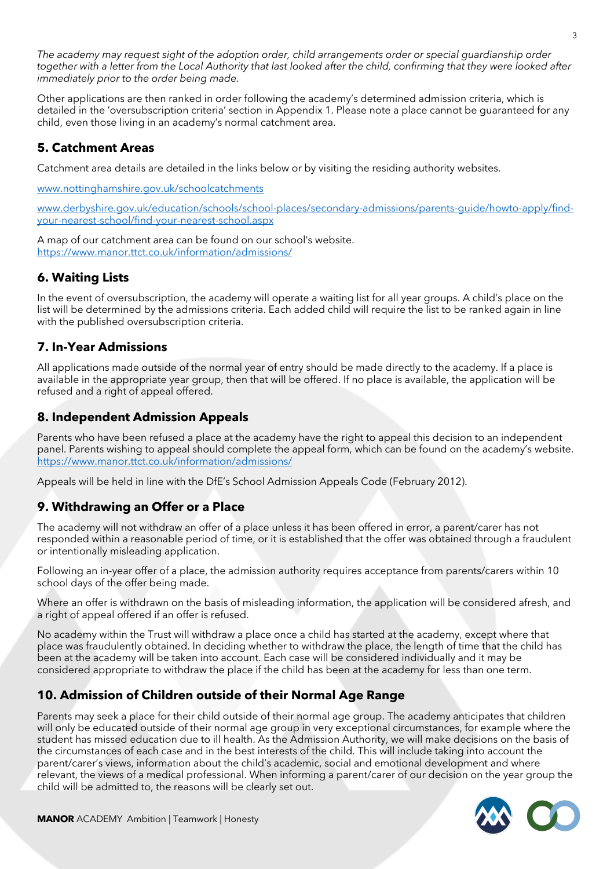*The academy may request sight of the adoption order, child arrangements order or special guardianship order together with a letter from the Local Authority that last looked after the child, confirming that they were looked after immediately prior to the order being made.* 

Other applications are then ranked in order following the academy's determined admission criteria, which is detailed in the 'oversubscription criteria' section in Appendix 1. Please note a place cannot be guaranteed for any child, even those living in an academy's normal catchment area.

#### **5. Catchment Areas**

Catchment area details are detailed in the links below or by visiting the residing authority websites.

www.nottinghamshire.gov.uk/schoolcatchments

www.derbyshire.gov.uk/education/schools/school-places/secondary-admissions/parents-guide/howto-apply/findyour-nearest-school/find-your-nearest-school.aspx

A map of our catchment area can be found on our school's website. https://www.manor.ttct.co.uk/information/admissions/

# **6. Waiting Lists**

In the event of oversubscription, the academy will operate a waiting list for all year groups. A child's place on the list will be determined by the admissions criteria. Each added child will require the list to be ranked again in line with the published oversubscription criteria.

# **7. In-Year Admissions**

All applications made outside of the normal year of entry should be made directly to the academy. If a place is available in the appropriate year group, then that will be offered. If no place is available, the application will be refused and a right of appeal offered.

### **8. Independent Admission Appeals**

Parents who have been refused a place at the academy have the right to appeal this decision to an independent panel. Parents wishing to appeal should complete the appeal form, which can be found on the academy's website. https://www.manor.ttct.co.uk/information/admissions/

Appeals will be held in line with the DfE's School Admission Appeals Code (February 2012).

# **9. Withdrawing an Offer or a Place**

The academy will not withdraw an offer of a place unless it has been offered in error, a parent/carer has not responded within a reasonable period of time, or it is established that the offer was obtained through a fraudulent or intentionally misleading application.

Following an in-year offer of a place, the admission authority requires acceptance from parents/carers within 10 school days of the offer being made.

Where an offer is withdrawn on the basis of misleading information, the application will be considered afresh, and a right of appeal offered if an offer is refused.

No academy within the Trust will withdraw a place once a child has started at the academy, except where that place was fraudulently obtained. In deciding whether to withdraw the place, the length of time that the child has been at the academy will be taken into account. Each case will be considered individually and it may be considered appropriate to withdraw the place if the child has been at the academy for less than one term.

### **10. Admission of Children outside of their Normal Age Range**

Parents may seek a place for their child outside of their normal age group. The academy anticipates that children will only be educated outside of their normal age group in very exceptional circumstances, for example where the student has missed education due to ill health. As the Admission Authority, we will make decisions on the basis of the circumstances of each case and in the best interests of the child. This will include taking into account the parent/carer's views, information about the child's academic, social and emotional development and where relevant, the views of a medical professional. When informing a parent/carer of our decision on the year group the child will be admitted to, the reasons will be clearly set out.

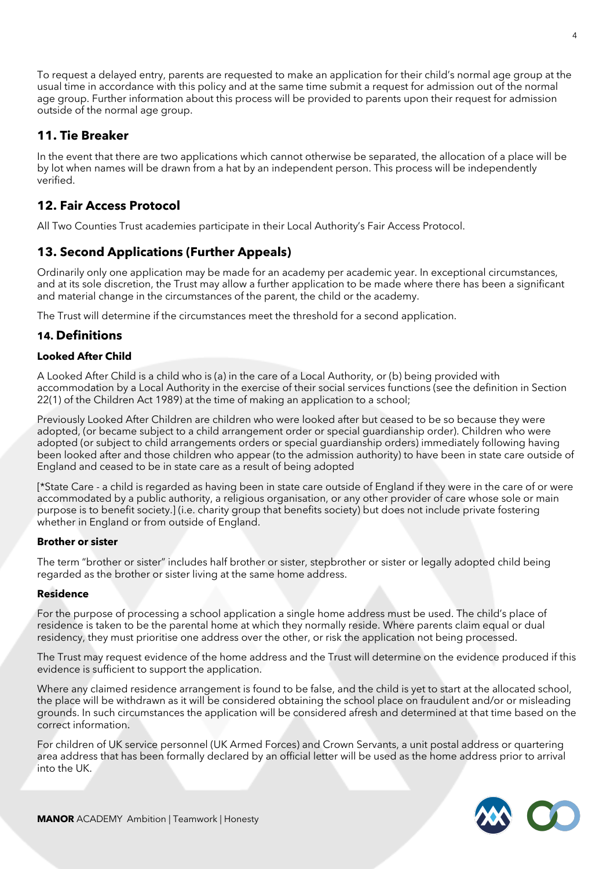To request a delayed entry, parents are requested to make an application for their child's normal age group at the usual time in accordance with this policy and at the same time submit a request for admission out of the normal age group. Further information about this process will be provided to parents upon their request for admission outside of the normal age group.

# **11. Tie Breaker**

In the event that there are two applications which cannot otherwise be separated, the allocation of a place will be by lot when names will be drawn from a hat by an independent person. This process will be independently verified.

# **12. Fair Access Protocol**

All Two Counties Trust academies participate in their Local Authority's Fair Access Protocol.

# **13. Second Applications (Further Appeals)**

Ordinarily only one application may be made for an academy per academic year. In exceptional circumstances, and at its sole discretion, the Trust may allow a further application to be made where there has been a significant and material change in the circumstances of the parent, the child or the academy.

The Trust will determine if the circumstances meet the threshold for a second application.

#### **14. Definitions**

#### **Looked After Child**

A Looked After Child is a child who is (a) in the care of a Local Authority, or (b) being provided with accommodation by a Local Authority in the exercise of their social services functions (see the definition in Section 22(1) of the Children Act 1989) at the time of making an application to a school;

Previously Looked After Children are children who were looked after but ceased to be so because they were adopted, (or became subject to a child arrangement order or special guardianship order). Children who were adopted (or subject to child arrangements orders or special guardianship orders) immediately following having been looked after and those children who appear (to the admission authority) to have been in state care outside of England and ceased to be in state care as a result of being adopted

[\*State Care - a child is regarded as having been in state care outside of England if they were in the care of or were accommodated by a public authority, a religious organisation, or any other provider of care whose sole or main purpose is to benefit society.] (i.e. charity group that benefits society) but does not include private fostering whether in England or from outside of England.

#### **Brother or sister**

The term "brother or sister" includes half brother or sister, stepbrother or sister or legally adopted child being regarded as the brother or sister living at the same home address.

#### **Residence**

For the purpose of processing a school application a single home address must be used. The child's place of residence is taken to be the parental home at which they normally reside. Where parents claim equal or dual residency, they must prioritise one address over the other, or risk the application not being processed.

The Trust may request evidence of the home address and the Trust will determine on the evidence produced if this evidence is sufficient to support the application.

Where any claimed residence arrangement is found to be false, and the child is yet to start at the allocated school, the place will be withdrawn as it will be considered obtaining the school place on fraudulent and/or or misleading grounds. In such circumstances the application will be considered afresh and determined at that time based on the correct information.

For children of UK service personnel (UK Armed Forces) and Crown Servants, a unit postal address or quartering area address that has been formally declared by an official letter will be used as the home address prior to arrival into the UK.

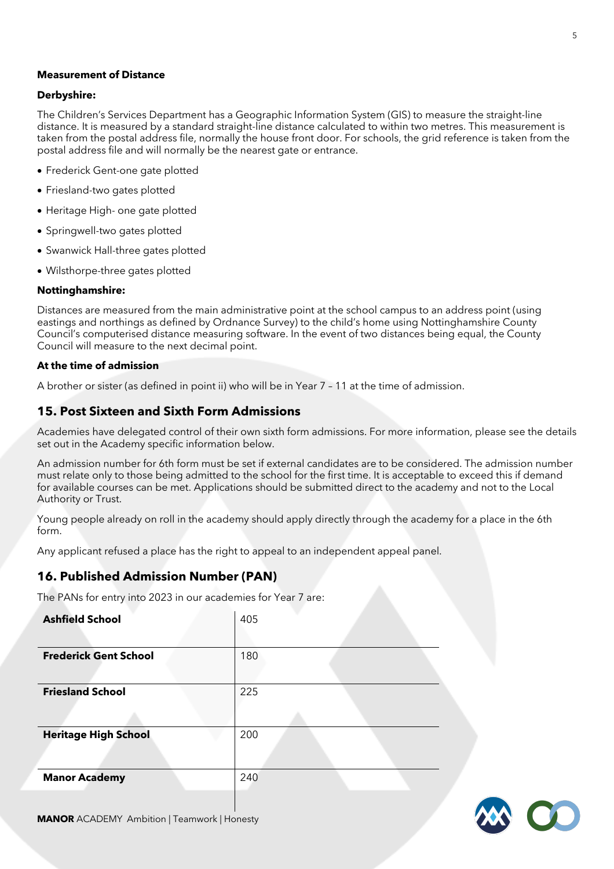#### **Measurement of Distance**

#### **Derbyshire:**

The Children's Services Department has a Geographic Information System (GIS) to measure the straight-line distance. It is measured by a standard straight-line distance calculated to within two metres. This measurement is taken from the postal address file, normally the house front door. For schools, the grid reference is taken from the postal address file and will normally be the nearest gate or entrance.

- Frederick Gent-one gate plotted
- Friesland-two gates plotted
- Heritage High- one gate plotted
- Springwell-two gates plotted
- Swanwick Hall-three gates plotted
- Wilsthorpe-three gates plotted

#### **Nottinghamshire:**

Distances are measured from the main administrative point at the school campus to an address point (using eastings and northings as defined by Ordnance Survey) to the child's home using Nottinghamshire County Council's computerised distance measuring software. In the event of two distances being equal, the County Council will measure to the next decimal point.

#### **At the time of admission**

A brother or sister (as defined in point ii) who will be in Year 7 – 11 at the time of admission.

#### **15. Post Sixteen and Sixth Form Admissions**

Academies have delegated control of their own sixth form admissions. For more information, please see the details set out in the Academy specific information below.

An admission number for 6th form must be set if external candidates are to be considered. The admission number must relate only to those being admitted to the school for the first time. It is acceptable to exceed this if demand for available courses can be met. Applications should be submitted direct to the academy and not to the Local Authority or Trust.

Young people already on roll in the academy should apply directly through the academy for a place in the 6th form.

Any applicant refused a place has the right to appeal to an independent appeal panel.

#### **16. Published Admission Number (PAN)**

The PANs for entry into 2023 in our academies for Year 7 are:

| <b>Ashfield School</b>       | 405 |
|------------------------------|-----|
| <b>Frederick Gent School</b> | 180 |
| <b>Friesland School</b>      | 225 |
| <b>Heritage High School</b>  | 200 |
| <b>Manor Academy</b>         | 240 |

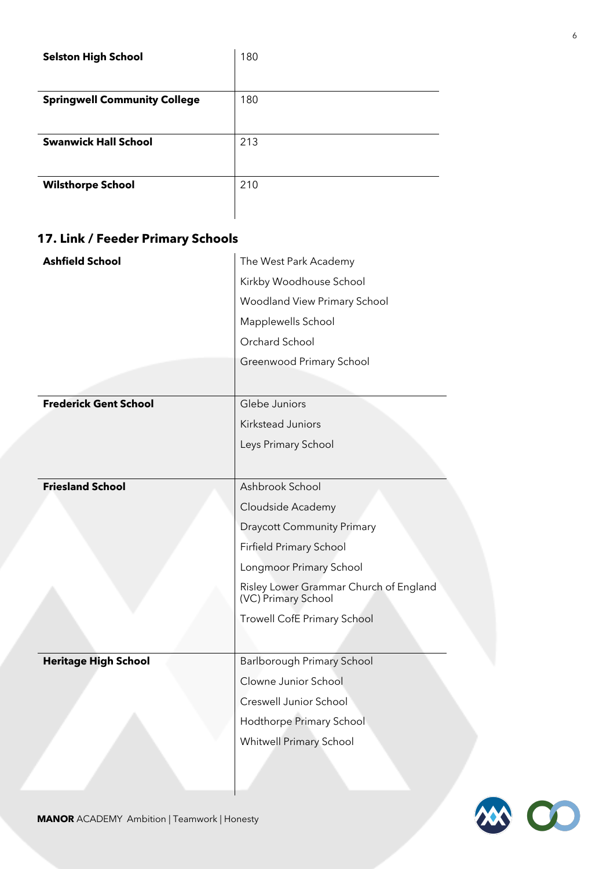| <b>Selston High School</b>          | 180 |
|-------------------------------------|-----|
| <b>Springwell Community College</b> | 180 |
| <b>Swanwick Hall School</b>         | 213 |
| <b>Wilsthorpe School</b>            | 210 |

# **17. Link / Feeder Primary Schools**

| <b>Ashfield School</b>       | The West Park Academy                                         |
|------------------------------|---------------------------------------------------------------|
|                              | Kirkby Woodhouse School                                       |
|                              | <b>Woodland View Primary School</b>                           |
|                              | Mapplewells School                                            |
|                              | Orchard School                                                |
|                              | Greenwood Primary School                                      |
|                              |                                                               |
| <b>Frederick Gent School</b> | Glebe Juniors                                                 |
|                              | Kirkstead Juniors                                             |
|                              | Leys Primary School                                           |
|                              |                                                               |
| <b>Friesland School</b>      | Ashbrook School                                               |
|                              | Cloudside Academy                                             |
|                              | <b>Draycott Community Primary</b>                             |
|                              | Firfield Primary School                                       |
|                              | Longmoor Primary School                                       |
|                              | Risley Lower Grammar Church of England<br>(VC) Primary School |
|                              | <b>Trowell CofE Primary School</b>                            |
|                              |                                                               |
| <b>Heritage High School</b>  | Barlborough Primary School                                    |
|                              | Clowne Junior School                                          |
|                              | Creswell Junior School                                        |
|                              | Hodthorpe Primary School                                      |
|                              | <b>Whitwell Primary School</b>                                |
|                              |                                                               |

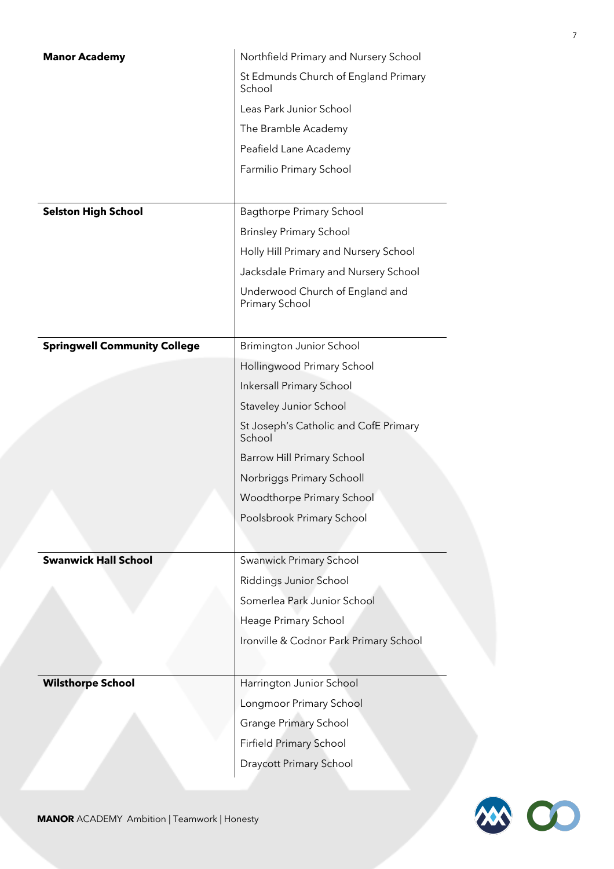| <b>Manor Academy</b>                | Northfield Primary and Nursery School             |
|-------------------------------------|---------------------------------------------------|
|                                     | St Edmunds Church of England Primary<br>School    |
|                                     | Leas Park Junior School                           |
|                                     | The Bramble Academy                               |
|                                     | Peafield Lane Academy                             |
|                                     | Farmilio Primary School                           |
|                                     |                                                   |
| <b>Selston High School</b>          | <b>Bagthorpe Primary School</b>                   |
|                                     | <b>Brinsley Primary School</b>                    |
|                                     | Holly Hill Primary and Nursery School             |
|                                     | Jacksdale Primary and Nursery School              |
|                                     | Underwood Church of England and<br>Primary School |
| <b>Springwell Community College</b> | <b>Brimington Junior School</b>                   |
|                                     | Hollingwood Primary School                        |
|                                     | Inkersall Primary School                          |
|                                     | Staveley Junior School                            |
|                                     | St Joseph's Catholic and CofE Primary<br>School   |
|                                     | Barrow Hill Primary School                        |
|                                     | Norbriggs Primary Schooll                         |
|                                     | Woodthorpe Primary School                         |
|                                     | Poolsbrook Primary School                         |
|                                     |                                                   |
| <b>Swanwick Hall School</b>         | Swanwick Primary School                           |
|                                     | Riddings Junior School                            |
|                                     | Somerlea Park Junior School                       |
|                                     | Heage Primary School                              |
|                                     | Ironville & Codnor Park Primary School            |
|                                     |                                                   |
| <b>Wilsthorpe School</b>            | Harrington Junior School                          |
|                                     | Longmoor Primary School                           |
|                                     | <b>Grange Primary School</b>                      |
|                                     | Firfield Primary School                           |
|                                     | Draycott Primary School                           |
|                                     |                                                   |



7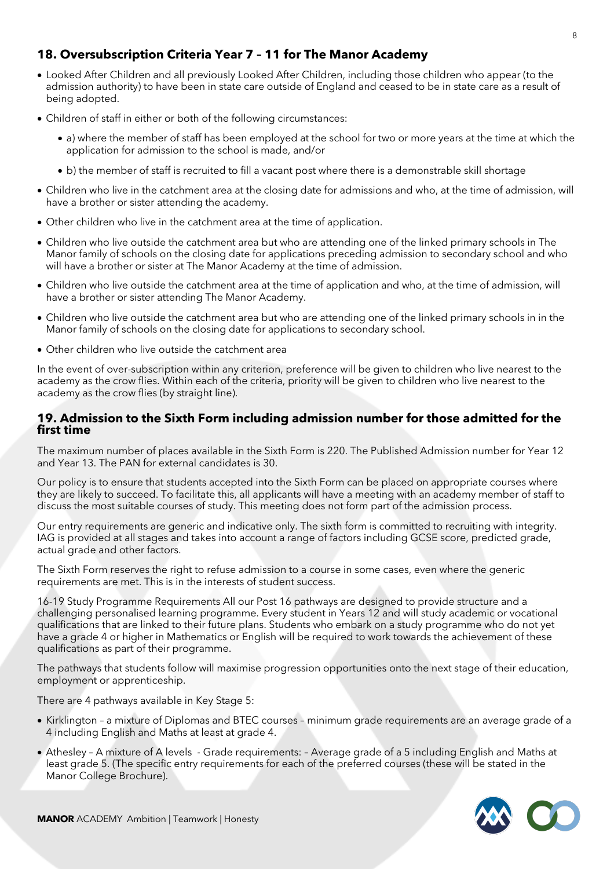# **18. Oversubscription Criteria Year 7 – 11 for The Manor Academy**

- Looked After Children and all previously Looked After Children, including those children who appear (to the admission authority) to have been in state care outside of England and ceased to be in state care as a result of being adopted.
- Children of staff in either or both of the following circumstances:
	- a) where the member of staff has been employed at the school for two or more years at the time at which the application for admission to the school is made, and/or
	- b) the member of staff is recruited to fill a vacant post where there is a demonstrable skill shortage
- Children who live in the catchment area at the closing date for admissions and who, at the time of admission, will have a brother or sister attending the academy.
- Other children who live in the catchment area at the time of application.
- Children who live outside the catchment area but who are attending one of the linked primary schools in The Manor family of schools on the closing date for applications preceding admission to secondary school and who will have a brother or sister at The Manor Academy at the time of admission.
- Children who live outside the catchment area at the time of application and who, at the time of admission, will have a brother or sister attending The Manor Academy.
- Children who live outside the catchment area but who are attending one of the linked primary schools in in the Manor family of schools on the closing date for applications to secondary school.
- Other children who live outside the catchment area

In the event of over-subscription within any criterion, preference will be given to children who live nearest to the academy as the crow flies. Within each of the criteria, priority will be given to children who live nearest to the academy as the crow flies (by straight line).

# **19. Admission to the Sixth Form including admission number for those admitted for the first time**

The maximum number of places available in the Sixth Form is 220. The Published Admission number for Year 12 and Year 13. The PAN for external candidates is 30.

Our policy is to ensure that students accepted into the Sixth Form can be placed on appropriate courses where they are likely to succeed. To facilitate this, all applicants will have a meeting with an academy member of staff to discuss the most suitable courses of study. This meeting does not form part of the admission process.

Our entry requirements are generic and indicative only. The sixth form is committed to recruiting with integrity. IAG is provided at all stages and takes into account a range of factors including GCSE score, predicted grade, actual grade and other factors.

The Sixth Form reserves the right to refuse admission to a course in some cases, even where the generic requirements are met. This is in the interests of student success.

16-19 Study Programme Requirements All our Post 16 pathways are designed to provide structure and a challenging personalised learning programme. Every student in Years 12 and will study academic or vocational qualifications that are linked to their future plans. Students who embark on a study programme who do not yet have a grade 4 or higher in Mathematics or English will be required to work towards the achievement of these qualifications as part of their programme.

The pathways that students follow will maximise progression opportunities onto the next stage of their education, employment or apprenticeship.

There are 4 pathways available in Key Stage 5:

- Kirklington a mixture of Diplomas and BTEC courses minimum grade requirements are an average grade of a 4 including English and Maths at least at grade 4.
- Athesley A mixture of A levels Grade requirements: Average grade of a 5 including English and Maths at least grade 5. (The specific entry requirements for each of the preferred courses (these will be stated in the Manor College Brochure).